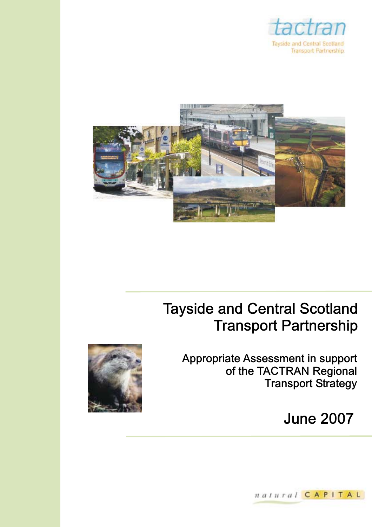



# **Tayside and Central Scotland Transport Partnership**



**Appropriate Assessment in support of the TACTRAN Regional Transport Strategy**

# **June 2007**

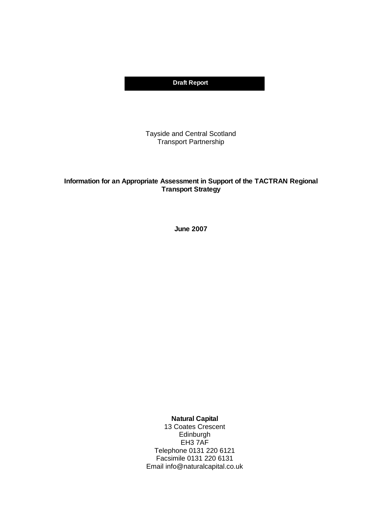## **Draft Report**

Tayside and Central Scotland Transport Partnership

## **Information for an Appropriate Assessment in Support of the TACTRAN Regional Transport Strategy**

**June 2007**

**Natural Capital**

13 Coates Crescent Edinburgh EH3 7AF Telephone 0131 220 6121 Facsimile 0131 220 6131 Email info@naturalcapital.co.uk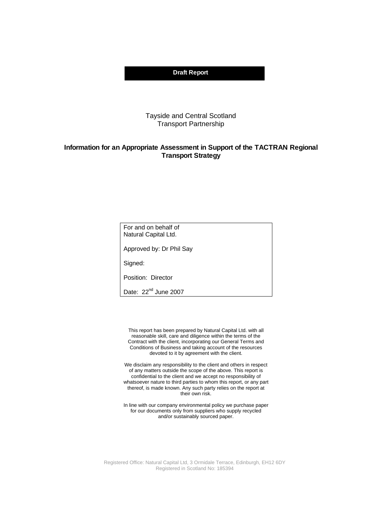### **Draft Report**

#### Tayside and Central Scotland Transport Partnership

### **Information for an Appropriate Assessment in Support of the TACTRAN Regional Transport Strategy**

For and on behalf of Natural Capital Ltd.

Approved by: Dr Phil Say

Signed:

Position: Director

Date: 22<sup>nd</sup> June 2007

This report has been prepared by Natural Capital Ltd. with all reasonable skill, care and diligence within the terms of the Contract with the client, incorporating our General Terms and Conditions of Business and taking account of the resources devoted to it by agreement with the client.

We disclaim any responsibility to the client and others in respect of any matters outside the scope of the above. This report is confidential to the client and we accept no responsibility of whatsoever nature to third parties to whom this report, or any part thereof, is made known. Any such party relies on the report at their own risk.

In line with our company environmental policy we purchase paper for our documents only from suppliers who supply recycled and/or sustainably sourced paper.

Registered Office: Natural Capital Ltd, 3 Ormidale Terrace, Edinburgh, EH12 6DY Registered in Scotland No: 185394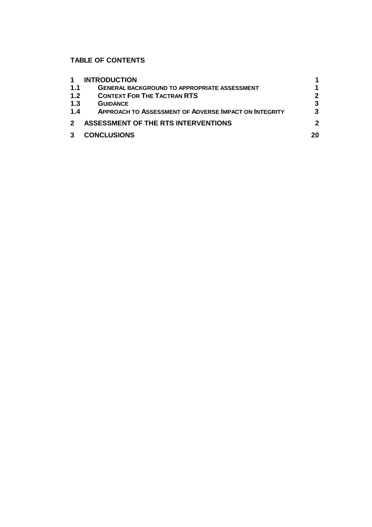# **TABLE OF CONTENTS**

| 1                | <b>INTRODUCTION</b>                                          |              |
|------------------|--------------------------------------------------------------|--------------|
| 1.1              | <b>GENERAL BACKGROUND TO APPROPRIATE ASSESSMENT</b>          |              |
| 1.2              | <b>CONTEXT FOR THE TACTRAN RTS</b>                           | $\mathbf{2}$ |
| 1.3              | <b>GUIDANCE</b>                                              | 3            |
| 1.4              | <b>APPROACH TO ASSESSMENT OF ADVERSE IMPACT ON INTEGRITY</b> | 3            |
| $\boldsymbol{P}$ | ASSESSMENT OF THE RTS INTERVENTIONS                          | $\mathbf 2$  |
|                  | <b>CONCLUSIONS</b>                                           | 20           |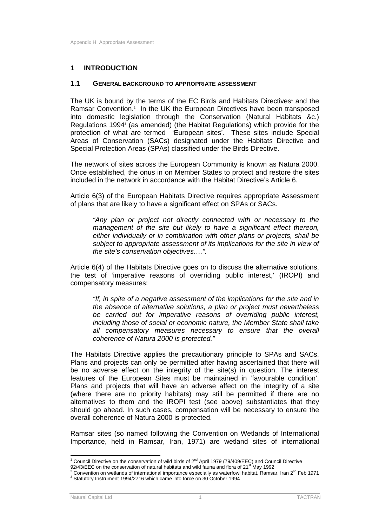## **1 INTRODUCTION**

#### **1.1 GENERAL BACKGROUND TO APPROPRIATE ASSESSMENT**

The UK is bound by the terms of the EC Birds and Habitats Directives<sup>1</sup> and the Ramsar Convention.<sup>2</sup> In the UK the European Directives have been transposed into domestic legislation through the Conservation (Natural Habitats &c.) Regulations 1994<sup>3</sup> (as amended) (the Habitat Regulations) which provide for the protection of what are termed 'European sites'. These sites include Special Areas of Conservation (SACs) designated under the Habitats Directive and Special Protection Areas (SPAs) classified under the Birds Directive.

The network of sites across the European Community is known as Natura 2000. Once established, the onus in on Member States to protect and restore the sites included in the network in accordance with the Habitat Directive's Article 6.

Article 6(3) of the European Habitats Directive requires appropriate Assessment of plans that are likely to have a significant effect on SPAs or SACs.

*"Any plan or project not directly connected with or necessary to the management of the site but likely to have a significant effect thereon, either individually or in combination with other plans or projects, shall be subject to appropriate assessment of its implications for the site in view of the site's conservation objectives….".* 

Article 6(4) of the Habitats Directive goes on to discuss the alternative solutions, the test of 'imperative reasons of overriding public interest,' (IROPI) and compensatory measures:

*"If, in spite of a negative assessment of the implications for the site and in the absence of alternative solutions, a plan or project must nevertheless be carried out for imperative reasons of overriding public interest, including those of social or economic nature, the Member State shall take all compensatory measures necessary to ensure that the overall coherence of Natura 2000 is protected."*

The Habitats Directive applies the precautionary principle to SPAs and SACs. Plans and projects can only be permitted after having ascertained that there will be no adverse effect on the integrity of the site(s) in question. The interest features of the European Sites must be maintained in 'favourable condition'. Plans and projects that will have an adverse affect on the integrity of a site (where there are no priority habitats) may still be permitted if there are no alternatives to them and the IROPI test (see above) substantiates that they should go ahead. In such cases, compensation will be necessary to ensure the overall coherence of Natura 2000 is protected.

Ramsar sites (so named following the Convention on Wetlands of International Importance, held in Ramsar, Iran, 1971) are wetland sites of international

<sup>1&</sup>lt;br><sup>1</sup> Council Directive on the conservation of wild birds of 2<sup>nd</sup> April 1979 (79/409/EEC) and Council Directive

<sup>92/43/</sup>EEC on the conservation of natural habitats and wild fauna and flora of 21<sup>st</sup> May 1992

Convention on wetlands of international importance especially as waterfowl habitat, Ramsar, Iran  $2^{nd}$  Feb 1971 3 Statutory Instrument 1994/2716 which came into force on 30 October 1994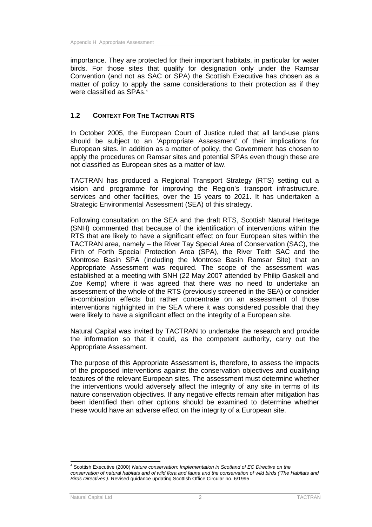importance. They are protected for their important habitats, in particular for water birds. For those sites that qualify for designation only under the Ramsar Convention (and not as SAC or SPA) the Scottish Executive has chosen as a matter of policy to apply the same considerations to their protection as if they were classified as SPAs.<sup>4</sup>

## **1.2 CONTEXT FOR THE TACTRAN RTS**

In October 2005, the European Court of Justice ruled that all land-use plans should be subject to an 'Appropriate Assessment' of their implications for European sites. In addition as a matter of policy, the Government has chosen to apply the procedures on Ramsar sites and potential SPAs even though these are not classified as European sites as a matter of law.

TACTRAN has produced a Regional Transport Strategy (RTS) setting out a vision and programme for improving the Region's transport infrastructure, services and other facilities, over the 15 years to 2021. It has undertaken a Strategic Environmental Assessment (SEA) of this strategy.

Following consultation on the SEA and the draft RTS, Scottish Natural Heritage (SNH) commented that because of the identification of interventions within the RTS that are likely to have a significant effect on four European sites within the TACTRAN area, namely – the River Tay Special Area of Conservation (SAC), the Firth of Forth Special Protection Area (SPA), the River Teith SAC and the Montrose Basin SPA (including the Montrose Basin Ramsar Site) that an Appropriate Assessment was required. The scope of the assessment was established at a meeting with SNH (22 May 2007 attended by Philip Gaskell and Zoe Kemp) where it was agreed that there was no need to undertake an assessment of the whole of the RTS (previously screened in the SEA) or consider in-combination effects but rather concentrate on an assessment of those interventions highlighted in the SEA where it was considered possible that they were likely to have a significant effect on the integrity of a European site.

Natural Capital was invited by TACTRAN to undertake the research and provide the information so that it could, as the competent authority, carry out the Appropriate Assessment.

The purpose of this Appropriate Assessment is, therefore, to assess the impacts of the proposed interventions against the conservation objectives and qualifying features of the relevant European sites. The assessment must determine whether the interventions would adversely affect the integrity of any site in terms of its nature conservation objectives. If any negative effects remain after mitigation has been identified then other options should be examined to determine whether these would have an adverse effect on the integrity of a European site.

 <sup>4</sup> Scottish Executive (2000) *Nature conservation: Implementation in Scotland of EC Directive on the conservation of natural habitats and of wild flora and fauna and the conservation of wild birds ('The Habitats and Birds Directives').* Revised guidance updating Scottish Office Circular no. 6/1995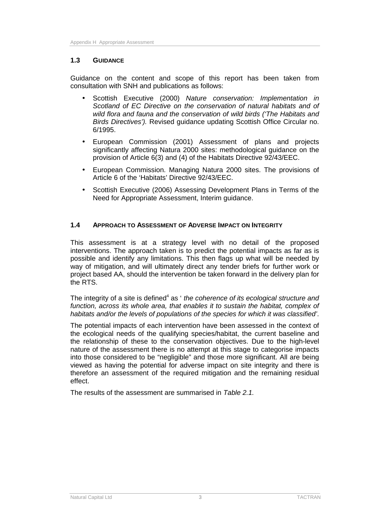## **1.3 GUIDANCE**

Guidance on the content and scope of this report has been taken from consultation with SNH and publications as follows:

- Scottish Executive (2000) *Nature conservation: Implementation in Scotland of EC Directive on the conservation of natural habitats and of wild flora and fauna and the conservation of wild birds ('The Habitats and Birds Directives').* Revised guidance updating Scottish Office Circular no. 6/1995.
- European Commission (2001) Assessment of plans and projects significantly affecting Natura 2000 sites: methodological guidance on the provision of Article 6(3) and (4) of the Habitats Directive 92/43/EEC.
- European Commission. Managing Natura 2000 sites. The provisions of Article 6 of the 'Habitats' Directive 92/43/EEC.
- Scottish Executive (2006) Assessing Development Plans in Terms of the Need for Appropriate Assessment, Interim guidance.

## **1.4 APPROACH TO ASSESSMENT OF ADVERSE IMPACT ON INTEGRITY**

This assessment is at a strategy level with no detail of the proposed interventions. The approach taken is to predict the potential impacts as far as is possible and identify any limitations. This then flags up what will be needed by way of mitigation, and will ultimately direct any tender briefs for further work or project based AA, should the intervention be taken forward in the delivery plan for the RTS.

The integrity of a site is defined<sup>4</sup> as ' the coherence of its ecological structure and *function, across its whole area, that enables it to sustain the habitat, complex of habitats and/or the levels of populations of the species for which it was classified'*.

The potential impacts of each intervention have been assessed in the context of the ecological needs of the qualifying species/habitat, the current baseline and the relationship of these to the conservation objectives. Due to the high-level nature of the assessment there is no attempt at this stage to categorise impacts into those considered to be "negligible" and those more significant. All are being viewed as having the potential for adverse impact on site integrity and there is therefore an assessment of the required mitigation and the remaining residual effect.

The results of the assessment are summarised in *Table 2.1.*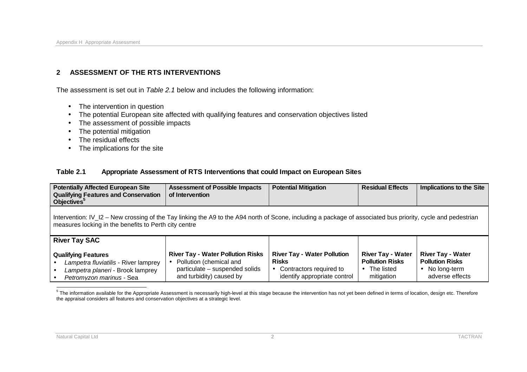## **2 ASSESSMENT OF THE RTS INTERVENTIONS**

The assessment is set out in *Table 2.1* below and includes the following information:

- The intervention in question
- The potential European site affected with qualifying features and conservation objectives listed
- The assessment of possible impacts
- The potential mitigation
- The residual effects
- The implications for the site

### **Table 2.1 Appropriate Assessment of RTS Interventions that could Impact on European Sites**

| <b>Potentially Affected European Site</b><br><b>Qualifying Features and Conservation</b><br>Objectives <sup>5</sup>                                                                                                   | <b>Assessment of Possible Impacts</b><br>of Intervention                                                                            | <b>Potential Mitigation</b>                                                                                   | <b>Residual Effects</b>                                                                     | <b>Implications to the Site</b>                                                                    |  |
|-----------------------------------------------------------------------------------------------------------------------------------------------------------------------------------------------------------------------|-------------------------------------------------------------------------------------------------------------------------------------|---------------------------------------------------------------------------------------------------------------|---------------------------------------------------------------------------------------------|----------------------------------------------------------------------------------------------------|--|
| Intervention: IV_I2 - New crossing of the Tay linking the A9 to the A94 north of Scone, including a package of associated bus priority, cycle and pedestrian<br>measures locking in the benefits to Perth city centre |                                                                                                                                     |                                                                                                               |                                                                                             |                                                                                                    |  |
| <b>River Tay SAC</b>                                                                                                                                                                                                  |                                                                                                                                     |                                                                                                               |                                                                                             |                                                                                                    |  |
| <b>Qualifying Features</b><br>Lampetra fluviatilis - River lamprey<br>Lampetra planeri - Brook lamprey<br>Petromyzon marinus - Sea                                                                                    | <b>River Tay - Water Pollution Risks</b><br>• Pollution (chemical and<br>particulate - suspended solids<br>and turbidity) caused by | <b>River Tay - Water Pollution</b><br><b>Risks</b><br>Contractors required to<br>identify appropriate control | <b>River Tay - Water</b><br><b>Pollution Risks</b><br>The listed<br>$\bullet$<br>mitigation | <b>River Tay - Water</b><br><b>Pollution Risks</b><br>No long-term<br>$\bullet$<br>adverse effects |  |

<sup>5</sup><br>The information available for the Appropriate Assessment is necessarily high-level at this stage because the intervention has not yet been defined in terms of location, design etc. Therefore the appraisal considers all features and conservation objectives at a strategic level.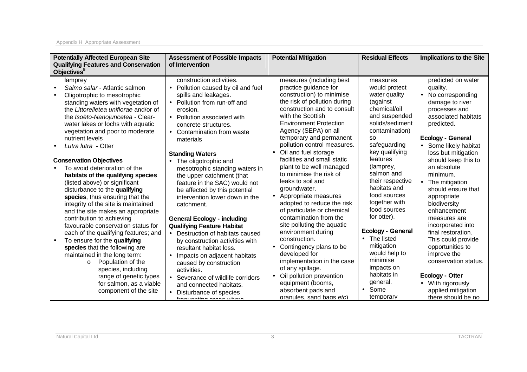| <b>Potentially Affected European Site</b><br><b>Qualifying Features and Conservation</b>                                                                                                                                                                                                                                                                                                                                                                                                                                                                                                                                                                                                                                                                                                                                                                                                                                                                                                        | <b>Assessment of Possible Impacts</b><br>of Intervention                                                                                                                                                                                                                                                                                                                                                                                                                                                                                                                                                                                                                                                                                                                                                                         | <b>Potential Mitigation</b>                                                                                                                                                                                                                                                                                                                                                                                                                                                                                                                                                                                                                                                                                                                                                                                                             | <b>Residual Effects</b>                                                                                                                                                                                                                                                                                                                                                                                                                                        | <b>Implications to the Site</b>                                                                                                                                                                                                                                                                                                                                                                                                                                                                                                                                  |
|-------------------------------------------------------------------------------------------------------------------------------------------------------------------------------------------------------------------------------------------------------------------------------------------------------------------------------------------------------------------------------------------------------------------------------------------------------------------------------------------------------------------------------------------------------------------------------------------------------------------------------------------------------------------------------------------------------------------------------------------------------------------------------------------------------------------------------------------------------------------------------------------------------------------------------------------------------------------------------------------------|----------------------------------------------------------------------------------------------------------------------------------------------------------------------------------------------------------------------------------------------------------------------------------------------------------------------------------------------------------------------------------------------------------------------------------------------------------------------------------------------------------------------------------------------------------------------------------------------------------------------------------------------------------------------------------------------------------------------------------------------------------------------------------------------------------------------------------|-----------------------------------------------------------------------------------------------------------------------------------------------------------------------------------------------------------------------------------------------------------------------------------------------------------------------------------------------------------------------------------------------------------------------------------------------------------------------------------------------------------------------------------------------------------------------------------------------------------------------------------------------------------------------------------------------------------------------------------------------------------------------------------------------------------------------------------------|----------------------------------------------------------------------------------------------------------------------------------------------------------------------------------------------------------------------------------------------------------------------------------------------------------------------------------------------------------------------------------------------------------------------------------------------------------------|------------------------------------------------------------------------------------------------------------------------------------------------------------------------------------------------------------------------------------------------------------------------------------------------------------------------------------------------------------------------------------------------------------------------------------------------------------------------------------------------------------------------------------------------------------------|
| Objectives <sup>5</sup><br>lamprey<br>Salmo salar - Atlantic salmon<br>Oligotrophic to mesotrophic<br>standing waters with vegetation of<br>the Littorelletea uniflorae and/or of<br>the Isoëto-Nanojuncetea - Clear-<br>water lakes or lochs with aquatic<br>vegetation and poor to moderate<br>nutrient levels<br>Lutra lutra - Otter<br><b>Conservation Objectives</b><br>To avoid deterioration of the<br>habitats of the qualifying species<br>(listed above) or significant<br>disturbance to the qualifying<br>species, thus ensuring that the<br>integrity of the site is maintained<br>and the site makes an appropriate<br>contribution to achieving<br>favourable conservation status for<br>each of the qualifying features; and<br>To ensure for the qualifying<br>$\bullet$<br>species that the following are<br>maintained in the long term:<br>Population of the<br>$\circ$<br>species, including<br>range of genetic types<br>for salmon, as a viable<br>component of the site | construction activities.<br>Pollution caused by oil and fuel<br>spills and leakages.<br>• Pollution from run-off and<br>erosion.<br>• Pollution associated with<br>concrete structures.<br>Contamination from waste<br>materials<br><b>Standing Waters</b><br>The oligotrophic and<br>mesotrophic standing waters in<br>the upper catchment (that<br>feature in the SAC) would not<br>be affected by this potential<br>intervention lower down in the<br>catchment.<br><b>General Ecology - including</b><br><b>Qualifying Feature Habitat</b><br>• Destruction of habitats caused<br>by construction activities with<br>resultant habitat loss.<br>Impacts on adjacent habitats<br>$\bullet$<br>caused by construction<br>activities.<br>• Severance of wildlife corridors<br>and connected habitats.<br>Disturbance of species | measures (including best<br>practice guidance for<br>construction) to minimise<br>the risk of pollution during<br>construction and to consult<br>with the Scottish<br><b>Environment Protection</b><br>Agency (SEPA) on all<br>temporary and permanent<br>pollution control measures.<br>Oil and fuel storage<br>$\bullet$<br>facilities and small static<br>plant to be well managed<br>to minimise the risk of<br>leaks to soil and<br>groundwater.<br>Appropriate measures<br>$\bullet$<br>adopted to reduce the risk<br>of particulate or chemical<br>contamination from the<br>site polluting the aquatic<br>environment during<br>construction.<br>Contingency plans to be<br>$\bullet$<br>developed for<br>implementation in the case<br>of any spillage.<br>Oil pollution prevention<br>equipment (booms,<br>absorbent pads and | measures<br>would protect<br>water quality<br>(against<br>chemical/oil<br>and suspended<br>solids/sediment<br>contamination)<br><b>SO</b><br>safeguarding<br>key qualifying<br>features<br>(lamprey,<br>salmon and<br>their respective<br>habitats and<br>food sources<br>together with<br>food sources<br>for otter).<br><b>Ecology - General</b><br>• The listed<br>mitigation<br>would help to<br>minimise<br>impacts on<br>habitats in<br>general.<br>Some | predicted on water<br>quality.<br>No corresponding<br>damage to river<br>processes and<br>associated habitats<br>predicted.<br><b>Ecology - General</b><br>• Some likely habitat<br>loss but mitigation<br>should keep this to<br>an absolute<br>minimum.<br>The mitigation<br>should ensure that<br>appropriate<br>biodiversity<br>enhancement<br>measures are<br>incorporated into<br>final restoration.<br>This could provide<br>opportunities to<br>improve the<br>conservation status.<br><b>Ecology - Otter</b><br>• With rigorously<br>applied mitigation |
|                                                                                                                                                                                                                                                                                                                                                                                                                                                                                                                                                                                                                                                                                                                                                                                                                                                                                                                                                                                                 | froguenting aroon whore                                                                                                                                                                                                                                                                                                                                                                                                                                                                                                                                                                                                                                                                                                                                                                                                          | granules. sand bags etcl                                                                                                                                                                                                                                                                                                                                                                                                                                                                                                                                                                                                                                                                                                                                                                                                                | temporary                                                                                                                                                                                                                                                                                                                                                                                                                                                      | there should be no                                                                                                                                                                                                                                                                                                                                                                                                                                                                                                                                               |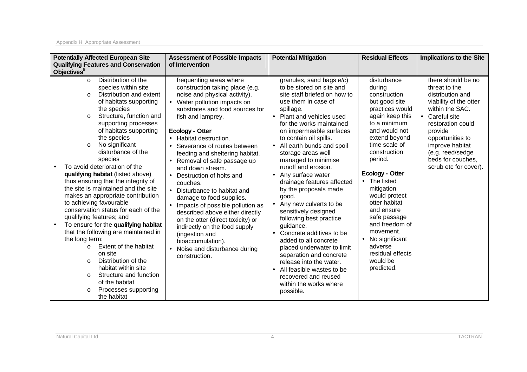#### Appendix H Appropriate Assessment

| <b>Potentially Affected European Site</b><br><b>Qualifying Features and Conservation</b>                                                                                                                                                                                                                                                                                                                                                                                                                                                                                                                                                                                                                                                                                                                                  | <b>Assessment of Possible Impacts</b><br>of Intervention                                                                                                                                                                                                                                                                                                                                                                                                                                                                                                                                                                                                                                                                                  | <b>Potential Mitigation</b>                                                                                                                                                                                                                                                                                                                                                                                                                                                                                                                                                                                                                                                                                                                        | <b>Residual Effects</b>                                                                                                                                                                                                                                                                                                                                                                                                      | <b>Implications to the Site</b>                                                                                                                                                                                                                                            |
|---------------------------------------------------------------------------------------------------------------------------------------------------------------------------------------------------------------------------------------------------------------------------------------------------------------------------------------------------------------------------------------------------------------------------------------------------------------------------------------------------------------------------------------------------------------------------------------------------------------------------------------------------------------------------------------------------------------------------------------------------------------------------------------------------------------------------|-------------------------------------------------------------------------------------------------------------------------------------------------------------------------------------------------------------------------------------------------------------------------------------------------------------------------------------------------------------------------------------------------------------------------------------------------------------------------------------------------------------------------------------------------------------------------------------------------------------------------------------------------------------------------------------------------------------------------------------------|----------------------------------------------------------------------------------------------------------------------------------------------------------------------------------------------------------------------------------------------------------------------------------------------------------------------------------------------------------------------------------------------------------------------------------------------------------------------------------------------------------------------------------------------------------------------------------------------------------------------------------------------------------------------------------------------------------------------------------------------------|------------------------------------------------------------------------------------------------------------------------------------------------------------------------------------------------------------------------------------------------------------------------------------------------------------------------------------------------------------------------------------------------------------------------------|----------------------------------------------------------------------------------------------------------------------------------------------------------------------------------------------------------------------------------------------------------------------------|
| Objectives <sup>5</sup>                                                                                                                                                                                                                                                                                                                                                                                                                                                                                                                                                                                                                                                                                                                                                                                                   |                                                                                                                                                                                                                                                                                                                                                                                                                                                                                                                                                                                                                                                                                                                                           |                                                                                                                                                                                                                                                                                                                                                                                                                                                                                                                                                                                                                                                                                                                                                    |                                                                                                                                                                                                                                                                                                                                                                                                                              |                                                                                                                                                                                                                                                                            |
| Distribution of the<br>$\Omega$<br>species within site<br>Distribution and extent<br>$\circ$<br>of habitats supporting<br>the species<br>Structure, function and<br>$\circ$<br>supporting processes<br>of habitats supporting<br>the species<br>No significant<br>$\circ$<br>disturbance of the<br>species<br>To avoid deterioration of the<br>qualifying habitat (listed above)<br>thus ensuring that the integrity of<br>the site is maintained and the site<br>makes an appropriate contribution<br>to achieving favourable<br>conservation status for each of the<br>qualifying features; and<br>To ensure for the qualifying habitat<br>$\bullet$<br>that the following are maintained in<br>the long term:<br>Extent of the habitat<br>$\circ$<br>on site<br>Distribution of the<br>$\Omega$<br>habitat within site | frequenting areas where<br>construction taking place (e.g.<br>noise and physical activity).<br>Water pollution impacts on<br>$\bullet$<br>substrates and food sources for<br>fish and lamprey.<br><b>Ecology - Otter</b><br>• Habitat destruction.<br>Severance of routes between<br>feeding and sheltering habitat.<br>Removal of safe passage up<br>$\bullet$<br>and down stream.<br>• Destruction of holts and<br>couches.<br>Disturbance to habitat and<br>damage to food supplies.<br>Impacts of possible pollution as<br>described above either directly<br>on the otter (direct toxicity) or<br>indirectly on the food supply<br>(ingestion and<br>bioaccumulation).<br>Noise and disturbance during<br>$\bullet$<br>construction. | granules, sand bags etc)<br>to be stored on site and<br>site staff briefed on how to<br>use them in case of<br>spillage.<br>Plant and vehicles used<br>$\bullet$<br>for the works maintained<br>on impermeable surfaces<br>to contain oil spills.<br>• All earth bunds and spoil<br>storage areas well<br>managed to minimise<br>runoff and erosion.<br>Any surface water<br>$\bullet$<br>drainage features affected<br>by the proposals made<br>good.<br>Any new culverts to be<br>$\bullet$<br>sensitively designed<br>following best practice<br>guidance.<br>• Concrete additives to be<br>added to all concrete<br>placed underwater to limit<br>separation and concrete<br>release into the water.<br>All feasible wastes to be<br>$\bullet$ | disturbance<br>durina<br>construction<br>but good site<br>practices would<br>again keep this<br>to a minimum<br>and would not<br>extend beyond<br>time scale of<br>construction<br>period.<br><b>Ecology - Otter</b><br>• The listed<br>mitigation<br>would protect<br>otter habitat<br>and ensure<br>safe passage<br>and freedom of<br>movement.<br>No significant<br>adverse<br>residual effects<br>would be<br>predicted. | there should be no<br>threat to the<br>distribution and<br>viability of the otter<br>within the SAC.<br>Careful site<br>$\bullet$<br>restoration could<br>provide<br>opportunities to<br>improve habitat<br>(e.g. reed/sedge<br>beds for couches,<br>scrub etc for cover). |
| Structure and function<br>$\circ$<br>of the habitat<br>Processes supporting<br>$\circ$<br>the habitat                                                                                                                                                                                                                                                                                                                                                                                                                                                                                                                                                                                                                                                                                                                     |                                                                                                                                                                                                                                                                                                                                                                                                                                                                                                                                                                                                                                                                                                                                           | recovered and reused<br>within the works where<br>possible.                                                                                                                                                                                                                                                                                                                                                                                                                                                                                                                                                                                                                                                                                        |                                                                                                                                                                                                                                                                                                                                                                                                                              |                                                                                                                                                                                                                                                                            |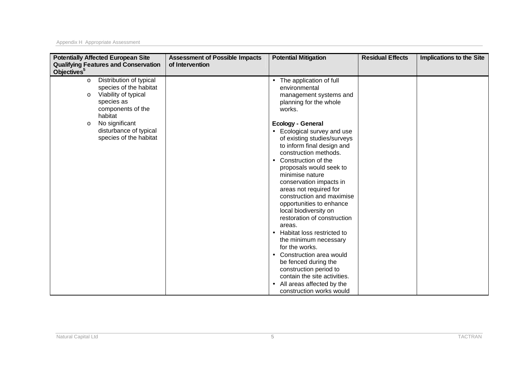| <b>Potentially Affected European Site</b><br><b>Qualifying Features and Conservation</b><br>Objectives <sup>5</sup>                           | <b>Assessment of Possible Impacts</b><br>of Intervention | <b>Potential Mitigation</b>                                                                                                                                                                                                                                                                                                                                                                                                                                                                                                                                                                                                                                                                         | <b>Residual Effects</b> | <b>Implications to the Site</b> |
|-----------------------------------------------------------------------------------------------------------------------------------------------|----------------------------------------------------------|-----------------------------------------------------------------------------------------------------------------------------------------------------------------------------------------------------------------------------------------------------------------------------------------------------------------------------------------------------------------------------------------------------------------------------------------------------------------------------------------------------------------------------------------------------------------------------------------------------------------------------------------------------------------------------------------------------|-------------------------|---------------------------------|
| Distribution of typical<br>$\circ$<br>species of the habitat<br>Viability of typical<br>$\circ$<br>species as<br>components of the<br>habitat |                                                          | • The application of full<br>environmental<br>management systems and<br>planning for the whole<br>works.                                                                                                                                                                                                                                                                                                                                                                                                                                                                                                                                                                                            |                         |                                 |
| No significant<br>$\Omega$<br>disturbance of typical<br>species of the habitat                                                                |                                                          | <b>Ecology - General</b><br>Ecological survey and use<br>$\bullet$<br>of existing studies/surveys<br>to inform final design and<br>construction methods.<br>Construction of the<br>$\bullet$<br>proposals would seek to<br>minimise nature<br>conservation impacts in<br>areas not required for<br>construction and maximise<br>opportunities to enhance<br>local biodiversity on<br>restoration of construction<br>areas.<br>Habitat loss restricted to<br>$\bullet$<br>the minimum necessary<br>for the works.<br>Construction area would<br>$\bullet$<br>be fenced during the<br>construction period to<br>contain the site activities.<br>All areas affected by the<br>construction works would |                         |                                 |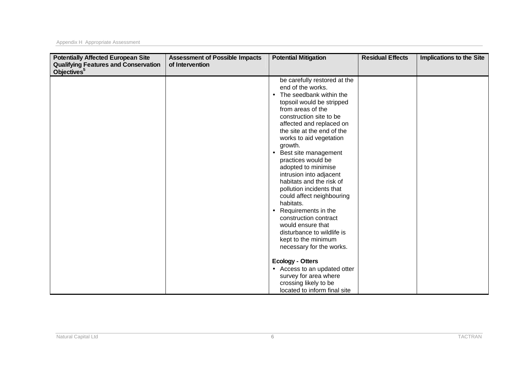| <b>Potentially Affected European Site</b><br><b>Qualifying Features and Conservation</b><br>Objectives <sup>5</sup> | <b>Assessment of Possible Impacts</b><br>of Intervention | <b>Potential Mitigation</b>                                                                                                                                                                                                                                                                                                                                                                                                                                                                                                                                                                                                                              | <b>Residual Effects</b> | <b>Implications to the Site</b> |
|---------------------------------------------------------------------------------------------------------------------|----------------------------------------------------------|----------------------------------------------------------------------------------------------------------------------------------------------------------------------------------------------------------------------------------------------------------------------------------------------------------------------------------------------------------------------------------------------------------------------------------------------------------------------------------------------------------------------------------------------------------------------------------------------------------------------------------------------------------|-------------------------|---------------------------------|
|                                                                                                                     |                                                          | be carefully restored at the<br>end of the works.<br>The seedbank within the<br>$\bullet$<br>topsoil would be stripped<br>from areas of the<br>construction site to be<br>affected and replaced on<br>the site at the end of the<br>works to aid vegetation<br>growth.<br>Best site management<br>$\bullet$<br>practices would be<br>adopted to minimise<br>intrusion into adjacent<br>habitats and the risk of<br>pollution incidents that<br>could affect neighbouring<br>habitats.<br>Requirements in the<br>$\bullet$<br>construction contract<br>would ensure that<br>disturbance to wildlife is<br>kept to the minimum<br>necessary for the works. |                         |                                 |
|                                                                                                                     |                                                          | <b>Ecology - Otters</b><br>• Access to an updated otter<br>survey for area where<br>crossing likely to be<br>located to inform final site                                                                                                                                                                                                                                                                                                                                                                                                                                                                                                                |                         |                                 |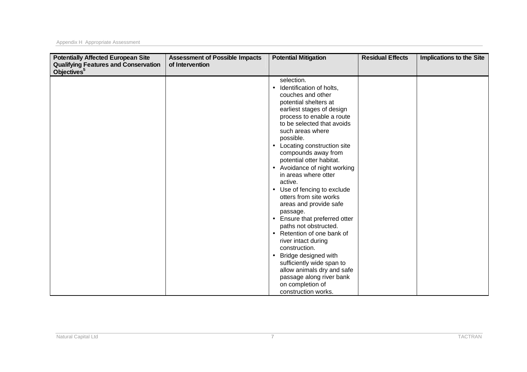| <b>Potentially Affected European Site</b><br><b>Qualifying Features and Conservation</b> | <b>Assessment of Possible Impacts</b><br>of Intervention | <b>Potential Mitigation</b>                                                                                                                                                                                                                                                                                                                                                                                                                                                                                                                                                                                                                                                                                                                                     | <b>Residual Effects</b> | <b>Implications to the Site</b> |
|------------------------------------------------------------------------------------------|----------------------------------------------------------|-----------------------------------------------------------------------------------------------------------------------------------------------------------------------------------------------------------------------------------------------------------------------------------------------------------------------------------------------------------------------------------------------------------------------------------------------------------------------------------------------------------------------------------------------------------------------------------------------------------------------------------------------------------------------------------------------------------------------------------------------------------------|-------------------------|---------------------------------|
| Objectives <sup>5</sup>                                                                  |                                                          |                                                                                                                                                                                                                                                                                                                                                                                                                                                                                                                                                                                                                                                                                                                                                                 |                         |                                 |
|                                                                                          |                                                          | selection.<br>Identification of holts,<br>$\bullet$<br>couches and other<br>potential shelters at<br>earliest stages of design<br>process to enable a route<br>to be selected that avoids<br>such areas where<br>possible.<br>• Locating construction site<br>compounds away from<br>potential otter habitat.<br>• Avoidance of night working<br>in areas where otter<br>active.<br>• Use of fencing to exclude<br>otters from site works<br>areas and provide safe<br>passage.<br>• Ensure that preferred otter<br>paths not obstructed.<br>• Retention of one bank of<br>river intact during<br>construction.<br>Bridge designed with<br>$\bullet$<br>sufficiently wide span to<br>allow animals dry and safe<br>passage along river bank<br>on completion of |                         |                                 |
|                                                                                          |                                                          | construction works.                                                                                                                                                                                                                                                                                                                                                                                                                                                                                                                                                                                                                                                                                                                                             |                         |                                 |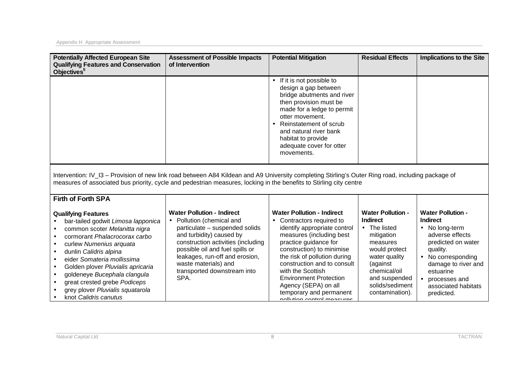| <b>Potentially Affected European Site</b><br><b>Qualifying Features and Conservation</b><br>Objectives <sup>5</sup>                                                                                                                                                                                                                                                                                                                                      | <b>Assessment of Possible Impacts</b><br>of Intervention                                                                                                                                                                                                                                               | <b>Potential Mitigation</b>                                                                                                                                                                                                                                                                                                                                                            | <b>Residual Effects</b>                                                                                                                                                                                    | <b>Implications to the Site</b>                                                                                                                                                                                                  |  |
|----------------------------------------------------------------------------------------------------------------------------------------------------------------------------------------------------------------------------------------------------------------------------------------------------------------------------------------------------------------------------------------------------------------------------------------------------------|--------------------------------------------------------------------------------------------------------------------------------------------------------------------------------------------------------------------------------------------------------------------------------------------------------|----------------------------------------------------------------------------------------------------------------------------------------------------------------------------------------------------------------------------------------------------------------------------------------------------------------------------------------------------------------------------------------|------------------------------------------------------------------------------------------------------------------------------------------------------------------------------------------------------------|----------------------------------------------------------------------------------------------------------------------------------------------------------------------------------------------------------------------------------|--|
|                                                                                                                                                                                                                                                                                                                                                                                                                                                          |                                                                                                                                                                                                                                                                                                        | If it is not possible to<br>design a gap between<br>bridge abutments and river<br>then provision must be<br>made for a ledge to permit<br>otter movement.<br>Reinstatement of scrub<br>$\bullet$<br>and natural river bank<br>habitat to provide<br>adequate cover for otter<br>movements.                                                                                             |                                                                                                                                                                                                            |                                                                                                                                                                                                                                  |  |
|                                                                                                                                                                                                                                                                                                                                                                                                                                                          | Intervention: IV_I3 - Provision of new link road between A84 Kildean and A9 University completing Stirling's Outer Ring road, including package of<br>measures of associated bus priority, cycle and pedestrian measures, locking in the benefits to Stirling city centre                              |                                                                                                                                                                                                                                                                                                                                                                                        |                                                                                                                                                                                                            |                                                                                                                                                                                                                                  |  |
| <b>Firth of Forth SPA</b>                                                                                                                                                                                                                                                                                                                                                                                                                                |                                                                                                                                                                                                                                                                                                        |                                                                                                                                                                                                                                                                                                                                                                                        |                                                                                                                                                                                                            |                                                                                                                                                                                                                                  |  |
| <b>Qualifying Features</b><br>bar-tailed godwit Limosa lapponica<br>common scoter Melanitta nigra<br>cormorant Phalacrocorax carbo<br>curlew Numenius arquata<br>$\bullet$<br>dunlin Calidris alpina<br>$\bullet$<br>eider Somateria mollissima<br>$\bullet$<br>Golden plover Pluvialis apricaria<br>$\bullet$<br>goldeneye Bucephala clangula<br>$\bullet$<br>great crested grebe Podiceps<br>grey plover Pluvialis squatarola<br>knot Calidris canutus | <b>Water Pollution - Indirect</b><br>• Pollution (chemical and<br>particulate - suspended solids<br>and turbidity) caused by<br>construction activities (including<br>possible oil and fuel spills or<br>leakages, run-off and erosion,<br>waste materials) and<br>transported downstream into<br>SPA. | <b>Water Pollution - Indirect</b><br>• Contractors required to<br>identify appropriate control<br>measures (including best<br>practice guidance for<br>construction) to minimise<br>the risk of pollution during<br>construction and to consult<br>with the Scottish<br><b>Environment Protection</b><br>Agency (SEPA) on all<br>temporary and permanent<br>nollution control messures | <b>Water Pollution -</b><br><b>Indirect</b><br>• The listed<br>mitigation<br>measures<br>would protect<br>water quality<br>(against<br>chemical/oil<br>and suspended<br>solids/sediment<br>contamination). | <b>Water Pollution -</b><br><b>Indirect</b><br>• No long-term<br>adverse effects<br>predicted on water<br>quality.<br>No corresponding<br>damage to river and<br>estuarine<br>processes and<br>associated habitats<br>predicted. |  |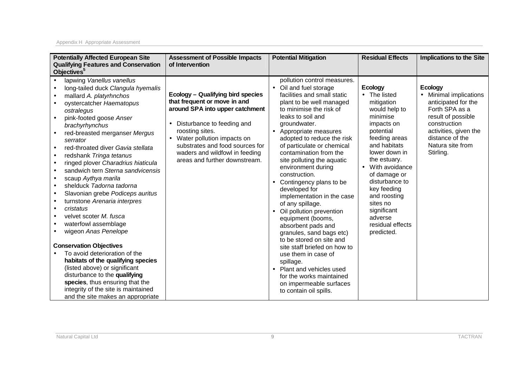| <b>Potentially Affected European Site</b><br><b>Qualifying Features and Conservation</b>                                                                                                                                                                                                                                                                                                                                                                                                                                                                                                                                                                                                                                                                                                                                                                                                                                                                                      | <b>Assessment of Possible Impacts</b><br>of Intervention                                                                                                                                                                                                                                           | <b>Potential Mitigation</b>                                                                                                                                                                                                                                                                                                                                                                                                                                                                                                                                                                                                                                                                                                                                                                                               | <b>Residual Effects</b>                                                                                                                                                                                                                                                                                                           | <b>Implications to the Site</b>                                                                                                                                                                           |
|-------------------------------------------------------------------------------------------------------------------------------------------------------------------------------------------------------------------------------------------------------------------------------------------------------------------------------------------------------------------------------------------------------------------------------------------------------------------------------------------------------------------------------------------------------------------------------------------------------------------------------------------------------------------------------------------------------------------------------------------------------------------------------------------------------------------------------------------------------------------------------------------------------------------------------------------------------------------------------|----------------------------------------------------------------------------------------------------------------------------------------------------------------------------------------------------------------------------------------------------------------------------------------------------|---------------------------------------------------------------------------------------------------------------------------------------------------------------------------------------------------------------------------------------------------------------------------------------------------------------------------------------------------------------------------------------------------------------------------------------------------------------------------------------------------------------------------------------------------------------------------------------------------------------------------------------------------------------------------------------------------------------------------------------------------------------------------------------------------------------------------|-----------------------------------------------------------------------------------------------------------------------------------------------------------------------------------------------------------------------------------------------------------------------------------------------------------------------------------|-----------------------------------------------------------------------------------------------------------------------------------------------------------------------------------------------------------|
| Objectives <sup>5</sup><br>lapwing Vanellus vanellus<br>long-tailed duck Clangula hyemalis<br>mallard A. platyrhnchos<br>oystercatcher Haematopus<br>ostralegus<br>pink-footed goose Anser<br>brachyrhynchus<br>red-breasted merganser Mergus<br>serrator<br>red-throated diver Gavia stellata<br>redshank Tringa tetanus<br>$\bullet$<br>ringed plover Charadrius hiaticula<br>sandwich tern Sterna sandvicensis<br>scaup Aythya marila<br>$\bullet$<br>shelduck Tadorna tadorna<br>$\bullet$<br>Slavonian grebe Podiceps auritus<br>$\bullet$<br>turnstone Arenaria interpres<br>cristatus<br>$\bullet$<br>velvet scoter M. fusca<br>waterfowl assemblage<br>wigeon Anas Penelope<br><b>Conservation Objectives</b><br>To avoid deterioration of the<br>habitats of the qualifying species<br>(listed above) or significant<br>disturbance to the qualifying<br>species, thus ensuring that the<br>integrity of the site is maintained<br>and the site makes an appropriate | <b>Ecology - Qualifying bird species</b><br>that frequent or move in and<br>around SPA into upper catchment<br>Disturbance to feeding and<br>roosting sites.<br>• Water pollution impacts on<br>substrates and food sources for<br>waders and wildfowl in feeding<br>areas and further downstream. | pollution control measures.<br>• Oil and fuel storage<br>facilities and small static<br>plant to be well managed<br>to minimise the risk of<br>leaks to soil and<br>groundwater.<br>• Appropriate measures<br>adopted to reduce the risk<br>of particulate or chemical<br>contamination from the<br>site polluting the aquatic<br>environment during<br>construction.<br>Contingency plans to be<br>$\bullet$<br>developed for<br>implementation in the case<br>of any spillage.<br>Oil pollution prevention<br>$\bullet$<br>equipment (booms,<br>absorbent pads and<br>granules, sand bags etc)<br>to be stored on site and<br>site staff briefed on how to<br>use them in case of<br>spillage.<br>Plant and vehicles used<br>$\bullet$<br>for the works maintained<br>on impermeable surfaces<br>to contain oil spills. | <b>Ecology</b><br>• The listed<br>mitigation<br>would help to<br>minimise<br>impacts on<br>potential<br>feeding areas<br>and habitats<br>lower down in<br>the estuary.<br>With avoidance<br>of damage or<br>disturbance to<br>key feeding<br>and roosting<br>sites no<br>significant<br>adverse<br>residual effects<br>predicted. | <b>Ecology</b><br><b>Minimal implications</b><br>anticipated for the<br>Forth SPA as a<br>result of possible<br>construction<br>activities, given the<br>distance of the<br>Natura site from<br>Stirling. |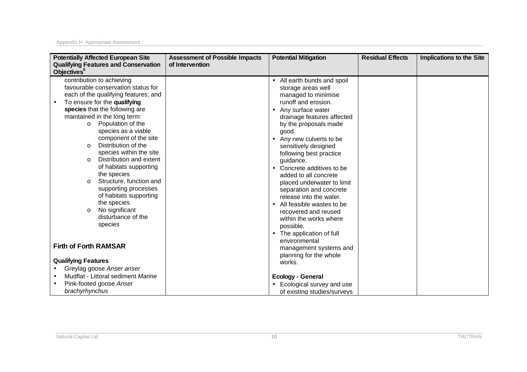| <b>Potentially Affected European Site</b><br><b>Qualifying Features and Conservation</b><br>Objectives <sup>3</sup>                                                                                                                                                                                                                                                                                                                                                                                                                                                                                                                                                                                                | <b>Assessment of Possible Impacts</b><br>of Intervention | <b>Potential Mitigation</b>                                                                                                                                                                                                                                                                                                                                                                                                                                                                                                                                                                                                         | <b>Residual Effects</b> | <b>Implications to the Site</b> |
|--------------------------------------------------------------------------------------------------------------------------------------------------------------------------------------------------------------------------------------------------------------------------------------------------------------------------------------------------------------------------------------------------------------------------------------------------------------------------------------------------------------------------------------------------------------------------------------------------------------------------------------------------------------------------------------------------------------------|----------------------------------------------------------|-------------------------------------------------------------------------------------------------------------------------------------------------------------------------------------------------------------------------------------------------------------------------------------------------------------------------------------------------------------------------------------------------------------------------------------------------------------------------------------------------------------------------------------------------------------------------------------------------------------------------------------|-------------------------|---------------------------------|
| contribution to achieving<br>favourable conservation status for<br>each of the qualifying features; and<br>To ensure for the qualifying<br>$\bullet$<br>species that the following are<br>maintained in the long term:<br>Population of the<br>$\circ$<br>species as a viable<br>component of the site<br>Distribution of the<br>$\circ$<br>species within the site<br>Distribution and extent<br>$\circ$<br>of habitats supporting<br>the species<br>Structure, function and<br>$\circ$<br>supporting processes<br>of habitats supporting<br>the species<br>No significant<br>$\circ$<br>disturbance of the<br>species<br><b>Firth of Forth RAMSAR</b><br><b>Qualifying Features</b><br>Greylag goose Anser anser |                                                          | • All earth bunds and spoil<br>storage areas well<br>managed to minimise<br>runoff and erosion.<br>• Any surface water<br>drainage features affected<br>by the proposals made<br>good.<br>Any new culverts to be<br>sensitively designed<br>following best practice<br>guidance.<br>Concrete additives to be<br>added to all concrete<br>placed underwater to limit<br>separation and concrete<br>release into the water.<br>• All feasible wastes to be<br>recovered and reused<br>within the works where<br>possible.<br>• The application of full<br>environmental<br>management systems and<br>planning for the whole<br>works. |                         |                                 |
| Mudflat - Littoral sediment Marine<br>Pink-footed goose Anser<br>brachyrhynchus                                                                                                                                                                                                                                                                                                                                                                                                                                                                                                                                                                                                                                    |                                                          | <b>Ecology - General</b><br>Ecological survey and use<br>of existing studies/surveys                                                                                                                                                                                                                                                                                                                                                                                                                                                                                                                                                |                         |                                 |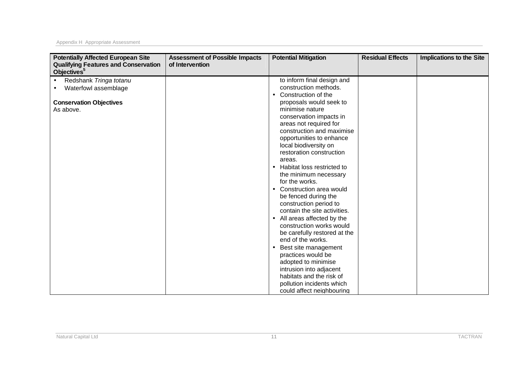| <b>Potentially Affected European Site</b><br><b>Qualifying Features and Conservation</b> | <b>Assessment of Possible Impacts</b><br>of Intervention | <b>Potential Mitigation</b>                              | <b>Residual Effects</b> | <b>Implications to the Site</b> |
|------------------------------------------------------------------------------------------|----------------------------------------------------------|----------------------------------------------------------|-------------------------|---------------------------------|
| Objectives <sup>5</sup>                                                                  |                                                          |                                                          |                         |                                 |
| Redshank Tringa totanu                                                                   |                                                          | to inform final design and                               |                         |                                 |
| Waterfowl assemblage                                                                     |                                                          | construction methods.                                    |                         |                                 |
|                                                                                          |                                                          | Construction of the<br>$\bullet$                         |                         |                                 |
| <b>Conservation Objectives</b>                                                           |                                                          | proposals would seek to                                  |                         |                                 |
| As above.                                                                                |                                                          | minimise nature                                          |                         |                                 |
|                                                                                          |                                                          | conservation impacts in                                  |                         |                                 |
|                                                                                          |                                                          | areas not required for<br>construction and maximise      |                         |                                 |
|                                                                                          |                                                          | opportunities to enhance                                 |                         |                                 |
|                                                                                          |                                                          | local biodiversity on                                    |                         |                                 |
|                                                                                          |                                                          | restoration construction                                 |                         |                                 |
|                                                                                          |                                                          | areas.                                                   |                         |                                 |
|                                                                                          |                                                          | Habitat loss restricted to<br>$\bullet$                  |                         |                                 |
|                                                                                          |                                                          | the minimum necessary                                    |                         |                                 |
|                                                                                          |                                                          | for the works.                                           |                         |                                 |
|                                                                                          |                                                          | Construction area would<br>$\bullet$                     |                         |                                 |
|                                                                                          |                                                          | be fenced during the                                     |                         |                                 |
|                                                                                          |                                                          | construction period to                                   |                         |                                 |
|                                                                                          |                                                          | contain the site activities.                             |                         |                                 |
|                                                                                          |                                                          | All areas affected by the<br>$\bullet$                   |                         |                                 |
|                                                                                          |                                                          | construction works would<br>be carefully restored at the |                         |                                 |
|                                                                                          |                                                          | end of the works.                                        |                         |                                 |
|                                                                                          |                                                          | Best site management<br>$\bullet$                        |                         |                                 |
|                                                                                          |                                                          | practices would be                                       |                         |                                 |
|                                                                                          |                                                          | adopted to minimise                                      |                         |                                 |
|                                                                                          |                                                          | intrusion into adjacent                                  |                         |                                 |
|                                                                                          |                                                          | habitats and the risk of                                 |                         |                                 |
|                                                                                          |                                                          | pollution incidents which                                |                         |                                 |
|                                                                                          |                                                          | could affect neighbouring                                |                         |                                 |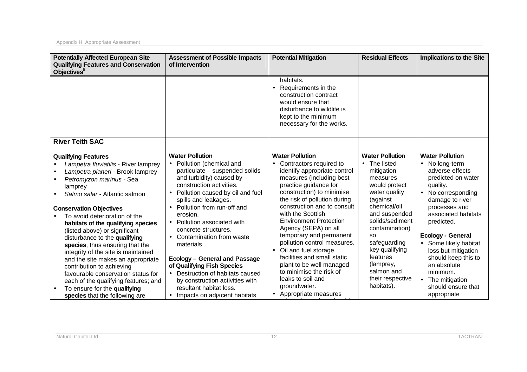| <b>Potentially Affected European Site</b><br><b>Qualifying Features and Conservation</b><br>Objectives <sup>5</sup>                                                                                                                                                                                                                                                                                                                                                                                                                                                                                                     | <b>Assessment of Possible Impacts</b><br>of Intervention                                                                                                                                                                                                                                                                                                                                                                                                                                                                                   | <b>Potential Mitigation</b>                                                                                                                                                                                                                                                                                                                                                                                                                                                                                                     | <b>Residual Effects</b>                                                                                                                                                                                                                                                      | <b>Implications to the Site</b>                                                                                                                                                                                                                                                                                                                                  |
|-------------------------------------------------------------------------------------------------------------------------------------------------------------------------------------------------------------------------------------------------------------------------------------------------------------------------------------------------------------------------------------------------------------------------------------------------------------------------------------------------------------------------------------------------------------------------------------------------------------------------|--------------------------------------------------------------------------------------------------------------------------------------------------------------------------------------------------------------------------------------------------------------------------------------------------------------------------------------------------------------------------------------------------------------------------------------------------------------------------------------------------------------------------------------------|---------------------------------------------------------------------------------------------------------------------------------------------------------------------------------------------------------------------------------------------------------------------------------------------------------------------------------------------------------------------------------------------------------------------------------------------------------------------------------------------------------------------------------|------------------------------------------------------------------------------------------------------------------------------------------------------------------------------------------------------------------------------------------------------------------------------|------------------------------------------------------------------------------------------------------------------------------------------------------------------------------------------------------------------------------------------------------------------------------------------------------------------------------------------------------------------|
|                                                                                                                                                                                                                                                                                                                                                                                                                                                                                                                                                                                                                         |                                                                                                                                                                                                                                                                                                                                                                                                                                                                                                                                            | habitats.<br>Requirements in the<br>construction contract<br>would ensure that<br>disturbance to wildlife is<br>kept to the minimum<br>necessary for the works.                                                                                                                                                                                                                                                                                                                                                                 |                                                                                                                                                                                                                                                                              |                                                                                                                                                                                                                                                                                                                                                                  |
| <b>River Teith SAC</b>                                                                                                                                                                                                                                                                                                                                                                                                                                                                                                                                                                                                  |                                                                                                                                                                                                                                                                                                                                                                                                                                                                                                                                            |                                                                                                                                                                                                                                                                                                                                                                                                                                                                                                                                 |                                                                                                                                                                                                                                                                              |                                                                                                                                                                                                                                                                                                                                                                  |
| <b>Qualifying Features</b>                                                                                                                                                                                                                                                                                                                                                                                                                                                                                                                                                                                              | <b>Water Pollution</b>                                                                                                                                                                                                                                                                                                                                                                                                                                                                                                                     | <b>Water Pollution</b>                                                                                                                                                                                                                                                                                                                                                                                                                                                                                                          | <b>Water Pollution</b>                                                                                                                                                                                                                                                       | <b>Water Pollution</b>                                                                                                                                                                                                                                                                                                                                           |
| Lampetra fluviatilis - River lamprey<br>Lampetra planeri - Brook lamprey<br>Petromyzon marinus - Sea<br>lamprey<br>Salmo salar - Atlantic salmon<br><b>Conservation Objectives</b><br>To avoid deterioration of the<br>habitats of the qualifying species<br>(listed above) or significant<br>disturbance to the qualifying<br>species, thus ensuring that the<br>integrity of the site is maintained<br>and the site makes an appropriate<br>contribution to achieving<br>favourable conservation status for<br>each of the qualifying features; and<br>To ensure for the qualifying<br>species that the following are | • Pollution (chemical and<br>particulate - suspended solids<br>and turbidity) caused by<br>construction activities.<br>Pollution caused by oil and fuel<br>spills and leakages.<br>Pollution from run-off and<br>erosion.<br>Pollution associated with<br>$\bullet$<br>concrete structures.<br>Contamination from waste<br>materials<br><b>Ecology - General and Passage</b><br>of Qualifying Fish Species<br>Destruction of habitats caused<br>by construction activities with<br>resultant habitat loss.<br>Impacts on adjacent habitats | • Contractors required to<br>identify appropriate control<br>measures (including best<br>practice guidance for<br>construction) to minimise<br>the risk of pollution during<br>construction and to consult<br>with the Scottish<br><b>Environment Protection</b><br>Agency (SEPA) on all<br>temporary and permanent<br>pollution control measures.<br>• Oil and fuel storage<br>facilities and small static<br>plant to be well managed<br>to minimise the risk of<br>leaks to soil and<br>groundwater.<br>Appropriate measures | • The listed<br>mitigation<br>measures<br>would protect<br>water quality<br>(against<br>chemical/oil<br>and suspended<br>solids/sediment<br>contamination)<br>SO.<br>safeguarding<br>key qualifying<br>features<br>(lamprey,<br>salmon and<br>their respective<br>habitats). | • No long-term<br>adverse effects<br>predicted on water<br>quality.<br>No corresponding<br>damage to river<br>processes and<br>associated habitats<br>predicted.<br><b>Ecology - General</b><br>Some likely habitat<br>loss but mitigation<br>should keep this to<br>an absolute<br>minimum.<br>The mitigation<br>$\bullet$<br>should ensure that<br>appropriate |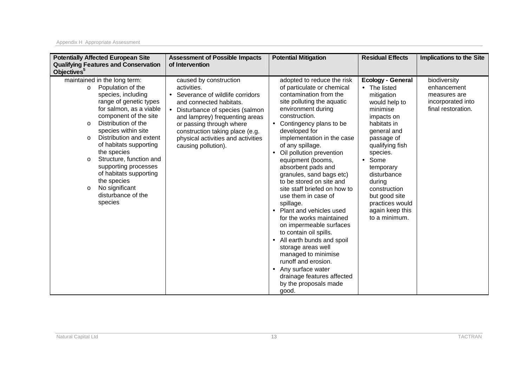| <b>Potentially Affected European Site</b><br><b>Qualifying Features and Conservation</b><br>Objectives <sup>5</sup>                                                                                                                                                                                                                                                                                                                                                            | <b>Assessment of Possible Impacts</b><br>of Intervention                                                                                                                                                                                                                                              | <b>Potential Mitigation</b>                                                                                                                                                                                                                                                                                                                                                                                                                                                                                                                                                                                                                                                                                                                                                                                      | <b>Residual Effects</b>                                                                                                                                                                                                                                                                                                         | <b>Implications to the Site</b>                                                        |
|--------------------------------------------------------------------------------------------------------------------------------------------------------------------------------------------------------------------------------------------------------------------------------------------------------------------------------------------------------------------------------------------------------------------------------------------------------------------------------|-------------------------------------------------------------------------------------------------------------------------------------------------------------------------------------------------------------------------------------------------------------------------------------------------------|------------------------------------------------------------------------------------------------------------------------------------------------------------------------------------------------------------------------------------------------------------------------------------------------------------------------------------------------------------------------------------------------------------------------------------------------------------------------------------------------------------------------------------------------------------------------------------------------------------------------------------------------------------------------------------------------------------------------------------------------------------------------------------------------------------------|---------------------------------------------------------------------------------------------------------------------------------------------------------------------------------------------------------------------------------------------------------------------------------------------------------------------------------|----------------------------------------------------------------------------------------|
| maintained in the long term:<br>Population of the<br>$\circ$<br>species, including<br>range of genetic types<br>for salmon, as a viable<br>component of the site<br>Distribution of the<br>$\Omega$<br>species within site<br>Distribution and extent<br>$\circ$<br>of habitats supporting<br>the species<br>Structure, function and<br>$\circ$<br>supporting processes<br>of habitats supporting<br>the species<br>No significant<br>$\circ$<br>disturbance of the<br>species | caused by construction<br>activities.<br>• Severance of wildlife corridors<br>and connected habitats.<br>Disturbance of species (salmon<br>and lamprey) frequenting areas<br>or passing through where<br>construction taking place (e.g.<br>physical activities and activities<br>causing pollution). | adopted to reduce the risk<br>of particulate or chemical<br>contamination from the<br>site polluting the aquatic<br>environment during<br>construction.<br>Contingency plans to be<br>$\bullet$<br>developed for<br>implementation in the case<br>of any spillage.<br>Oil pollution prevention<br>$\bullet$<br>equipment (booms,<br>absorbent pads and<br>granules, sand bags etc)<br>to be stored on site and<br>site staff briefed on how to<br>use them in case of<br>spillage.<br>Plant and vehicles used<br>$\bullet$<br>for the works maintained<br>on impermeable surfaces<br>to contain oil spills.<br>All earth bunds and spoil<br>$\bullet$<br>storage areas well<br>managed to minimise<br>runoff and erosion.<br>• Any surface water<br>drainage features affected<br>by the proposals made<br>good. | <b>Ecology - General</b><br>• The listed<br>mitigation<br>would help to<br>minimise<br>impacts on<br>habitats in<br>general and<br>passage of<br>qualifying fish<br>species.<br>Some<br>$\bullet$<br>temporary<br>disturbance<br>during<br>construction<br>but good site<br>practices would<br>again keep this<br>to a minimum. | biodiversity<br>enhancement<br>measures are<br>incorporated into<br>final restoration. |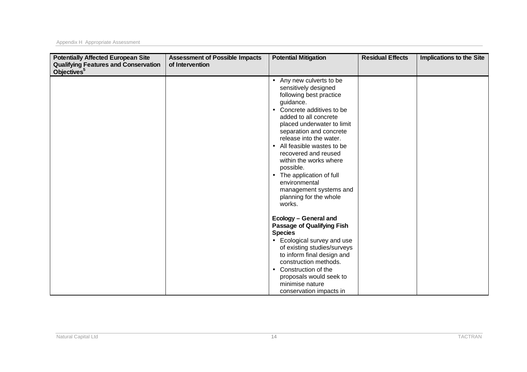| <b>Potentially Affected European Site</b><br><b>Qualifying Features and Conservation</b><br>Objectives <sup>5</sup> | <b>Assessment of Possible Impacts</b><br>of Intervention | <b>Potential Mitigation</b>                                                                                                                                                                                                                                                                                                                                                                                                                              | <b>Residual Effects</b> | <b>Implications to the Site</b> |
|---------------------------------------------------------------------------------------------------------------------|----------------------------------------------------------|----------------------------------------------------------------------------------------------------------------------------------------------------------------------------------------------------------------------------------------------------------------------------------------------------------------------------------------------------------------------------------------------------------------------------------------------------------|-------------------------|---------------------------------|
|                                                                                                                     |                                                          | • Any new culverts to be<br>sensitively designed<br>following best practice<br>guidance.<br>Concrete additives to be<br>$\bullet$<br>added to all concrete<br>placed underwater to limit<br>separation and concrete<br>release into the water.<br>• All feasible wastes to be<br>recovered and reused<br>within the works where<br>possible.<br>• The application of full<br>environmental<br>management systems and<br>planning for the whole<br>works. |                         |                                 |
|                                                                                                                     |                                                          | Ecology - General and<br><b>Passage of Qualifying Fish</b><br><b>Species</b><br>• Ecological survey and use<br>of existing studies/surveys<br>to inform final design and<br>construction methods.<br>Construction of the<br>$\bullet$<br>proposals would seek to<br>minimise nature<br>conservation impacts in                                                                                                                                           |                         |                                 |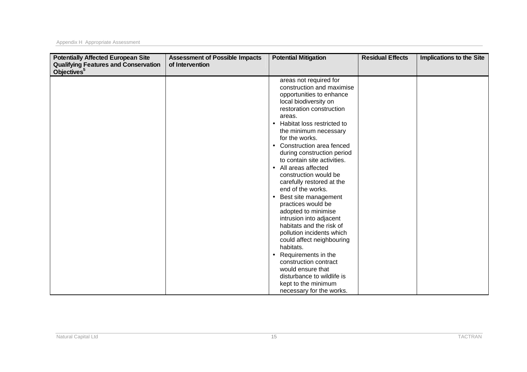| <b>Potentially Affected European Site</b><br><b>Qualifying Features and Conservation</b><br>Objectives <sup>5</sup> | <b>Assessment of Possible Impacts</b><br>of Intervention | <b>Potential Mitigation</b>                                                                                                                                                                                                                                                                                                                                                                                                                                                                                                                                                                                                                                                                                                                                                                                                      | <b>Residual Effects</b> | <b>Implications to the Site</b> |
|---------------------------------------------------------------------------------------------------------------------|----------------------------------------------------------|----------------------------------------------------------------------------------------------------------------------------------------------------------------------------------------------------------------------------------------------------------------------------------------------------------------------------------------------------------------------------------------------------------------------------------------------------------------------------------------------------------------------------------------------------------------------------------------------------------------------------------------------------------------------------------------------------------------------------------------------------------------------------------------------------------------------------------|-------------------------|---------------------------------|
|                                                                                                                     |                                                          | areas not required for<br>construction and maximise<br>opportunities to enhance<br>local biodiversity on<br>restoration construction<br>areas.<br>Habitat loss restricted to<br>$\bullet$<br>the minimum necessary<br>for the works.<br>Construction area fenced<br>$\bullet$<br>during construction period<br>to contain site activities.<br>• All areas affected<br>construction would be<br>carefully restored at the<br>end of the works.<br>Best site management<br>$\bullet$<br>practices would be<br>adopted to minimise<br>intrusion into adjacent<br>habitats and the risk of<br>pollution incidents which<br>could affect neighbouring<br>habitats.<br>Requirements in the<br>$\bullet$<br>construction contract<br>would ensure that<br>disturbance to wildlife is<br>kept to the minimum<br>necessary for the works. |                         |                                 |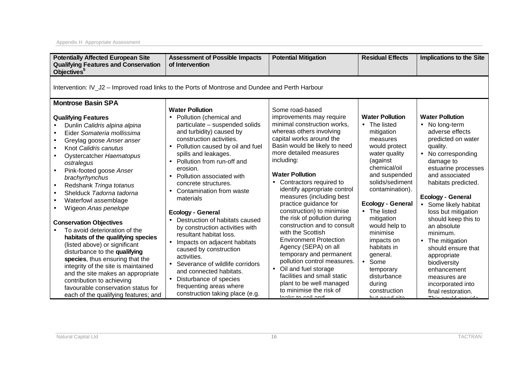| <b>Potentially Affected European Site</b><br><b>Qualifying Features and Conservation</b><br>Objectives <sup>5</sup>                                                                                                                                                                                                                                                                                                                                                                                                                                                                                                                                                                                                                                                             | <b>Assessment of Possible Impacts</b><br>of Intervention                                                                                                                                                                                                                                                                                                                                                                                                                                                                                                                                                                                                                                                                                     | <b>Potential Mitigation</b>                                                                                                                                                                                                                                                                                                                                                                                                                                                                                                                                                                                                                                                                                                      | <b>Residual Effects</b>                                                                                                                                                                                                                                                                                                                                                                                            | <b>Implications to the Site</b>                                                                                                                                                                                                                                                                                                                                                                                                                                                                                        |
|---------------------------------------------------------------------------------------------------------------------------------------------------------------------------------------------------------------------------------------------------------------------------------------------------------------------------------------------------------------------------------------------------------------------------------------------------------------------------------------------------------------------------------------------------------------------------------------------------------------------------------------------------------------------------------------------------------------------------------------------------------------------------------|----------------------------------------------------------------------------------------------------------------------------------------------------------------------------------------------------------------------------------------------------------------------------------------------------------------------------------------------------------------------------------------------------------------------------------------------------------------------------------------------------------------------------------------------------------------------------------------------------------------------------------------------------------------------------------------------------------------------------------------------|----------------------------------------------------------------------------------------------------------------------------------------------------------------------------------------------------------------------------------------------------------------------------------------------------------------------------------------------------------------------------------------------------------------------------------------------------------------------------------------------------------------------------------------------------------------------------------------------------------------------------------------------------------------------------------------------------------------------------------|--------------------------------------------------------------------------------------------------------------------------------------------------------------------------------------------------------------------------------------------------------------------------------------------------------------------------------------------------------------------------------------------------------------------|------------------------------------------------------------------------------------------------------------------------------------------------------------------------------------------------------------------------------------------------------------------------------------------------------------------------------------------------------------------------------------------------------------------------------------------------------------------------------------------------------------------------|
| Intervention: IV_J2 – Improved road links to the Ports of Montrose and Dundee and Perth Harbour                                                                                                                                                                                                                                                                                                                                                                                                                                                                                                                                                                                                                                                                                 |                                                                                                                                                                                                                                                                                                                                                                                                                                                                                                                                                                                                                                                                                                                                              |                                                                                                                                                                                                                                                                                                                                                                                                                                                                                                                                                                                                                                                                                                                                  |                                                                                                                                                                                                                                                                                                                                                                                                                    |                                                                                                                                                                                                                                                                                                                                                                                                                                                                                                                        |
| <b>Montrose Basin SPA</b><br><b>Qualifying Features</b><br>Dunlin Calidris alpina alpina<br>Eider Somateria mollissima<br>Greylag goose Anser anser<br>Knot Calidris canutus<br>Oystercatcher Haematopus<br>ostralegus<br>Pink-footed goose Anser<br>brachyrhynchus<br>Redshank Tringa totanus<br>Shelduck Tadorna tadorna<br>Waterfowl assemblage<br>Wigeon Anas penelope<br><b>Conservation Objectives</b><br>To avoid deterioration of the<br>habitats of the qualifying species<br>(listed above) or significant<br>disturbance to the qualifying<br>species, thus ensuring that the<br>integrity of the site is maintained<br>and the site makes an appropriate<br>contribution to achieving<br>favourable conservation status for<br>each of the qualifying features; and | <b>Water Pollution</b><br>• Pollution (chemical and<br>particulate - suspended solids<br>and turbidity) caused by<br>construction activities.<br>Pollution caused by oil and fuel<br>$\bullet$<br>spills and leakages.<br>Pollution from run-off and<br>erosion.<br>Pollution associated with<br>$\bullet$<br>concrete structures.<br>• Contamination from waste<br>materials<br><b>Ecology - General</b><br>Destruction of habitats caused<br>by construction activities with<br>resultant habitat loss.<br>Impacts on adjacent habitats<br>caused by construction<br>activities.<br>• Severance of wildlife corridors<br>and connected habitats.<br>• Disturbance of species<br>frequenting areas where<br>construction taking place (e.g. | Some road-based<br>improvements may require<br>minimal construction works,<br>whereas others involving<br>capital works around the<br>Basin would be likely to need<br>more detailed measures<br>including:<br><b>Water Pollution</b><br>• Contractors required to<br>identify appropriate control<br>measures (including best<br>practice guidance for<br>construction) to minimise<br>the risk of pollution during<br>construction and to consult<br>with the Scottish<br><b>Environment Protection</b><br>Agency (SEPA) on all<br>temporary and permanent<br>pollution control measures.<br>• Oil and fuel storage<br>facilities and small static<br>plant to be well managed<br>to minimise the risk of<br>looke to eail and | <b>Water Pollution</b><br>• The listed<br>mitigation<br>measures<br>would protect<br>water quality<br>(against<br>chemical/oil<br>and suspended<br>solids/sediment<br>contamination).<br><b>Ecology - General</b><br>• The listed<br>mitigation<br>would help to<br>minimise<br>impacts on<br>habitats in<br>general.<br>$\bullet$ Some<br>temporary<br>disturbance<br>during<br>construction<br>مغثم المممس فانتظ | <b>Water Pollution</b><br>• No long-term<br>adverse effects<br>predicted on water<br>quality.<br>No corresponding<br>damage to<br>estuarine processes<br>and associated<br>habitats predicted.<br><b>Ecology - General</b><br>• Some likely habitat<br>loss but mitigation<br>should keep this to<br>an absolute<br>minimum.<br>• The mitigation<br>should ensure that<br>appropriate<br>biodiversity<br>enhancement<br>measures are<br>incorporated into<br>final restoration.<br>والمشارع ومستواه والمتحام والمتالية |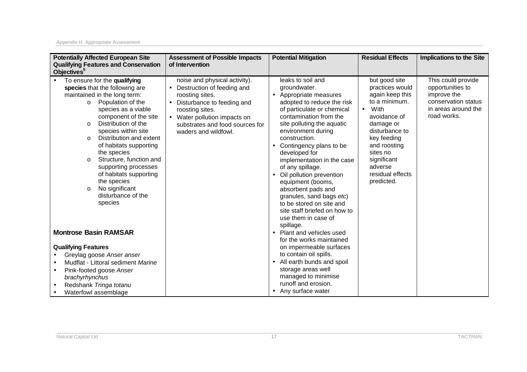#### Appendix H Appropriate Assessment

| <b>Potentially Affected European Site</b><br><b>Qualifying Features and Conservation</b><br>Objectives <sup>5</sup>                                                                                                                                                                                                                                                                                                                                                                                                                                                                                                                                                                                                          | <b>Assessment of Possible Impacts</b><br>of Intervention                                                                                                                                                                                             | <b>Potential Mitigation</b>                                                                                                                                                                                                                                                                                                                                                                                                                                                                                                                                                                                                                                                                                                                                                                      | <b>Residual Effects</b>                                                                                                                                                                                                                         | <b>Implications to the Site</b>                                                                                    |
|------------------------------------------------------------------------------------------------------------------------------------------------------------------------------------------------------------------------------------------------------------------------------------------------------------------------------------------------------------------------------------------------------------------------------------------------------------------------------------------------------------------------------------------------------------------------------------------------------------------------------------------------------------------------------------------------------------------------------|------------------------------------------------------------------------------------------------------------------------------------------------------------------------------------------------------------------------------------------------------|--------------------------------------------------------------------------------------------------------------------------------------------------------------------------------------------------------------------------------------------------------------------------------------------------------------------------------------------------------------------------------------------------------------------------------------------------------------------------------------------------------------------------------------------------------------------------------------------------------------------------------------------------------------------------------------------------------------------------------------------------------------------------------------------------|-------------------------------------------------------------------------------------------------------------------------------------------------------------------------------------------------------------------------------------------------|--------------------------------------------------------------------------------------------------------------------|
| To ensure for the qualifying<br>species that the following are<br>maintained in the long term:<br>Population of the<br>$\circ$<br>species as a viable<br>component of the site<br>Distribution of the<br>$\circ$<br>species within site<br>Distribution and extent<br>$\Omega$<br>of habitats supporting<br>the species<br>Structure, function and<br>$\circ$<br>supporting processes<br>of habitats supporting<br>the species<br>No significant<br>$\circ$<br>disturbance of the<br>species<br><b>Montrose Basin RAMSAR</b><br><b>Qualifying Features</b><br>Greylag goose Anser anser<br>Mudflat - Littoral sediment Marine<br>Pink-footed goose Anser<br>brachyrhynchus<br>Redshank Tringa totanu<br>Waterfowl assemblage | noise and physical activity).<br>Destruction of feeding and<br>$\bullet$<br>roosting sites.<br>Disturbance to feeding and<br>$\bullet$<br>roosting sites.<br>• Water pollution impacts on<br>substrates and food sources for<br>waders and wildfowl. | leaks to soil and<br>groundwater.<br>Appropriate measures<br>$\bullet$<br>adopted to reduce the risk<br>of particulate or chemical<br>contamination from the<br>site polluting the aquatic<br>environment during<br>construction.<br>Contingency plans to be<br>developed for<br>implementation in the case<br>of any spillage.<br>Oil pollution prevention<br>$\bullet$<br>equipment (booms,<br>absorbent pads and<br>granules, sand bags etc)<br>to be stored on site and<br>site staff briefed on how to<br>use them in case of<br>spillage.<br>Plant and vehicles used<br>$\bullet$<br>for the works maintained<br>on impermeable surfaces<br>to contain oil spills.<br>• All earth bunds and spoil<br>storage areas well<br>managed to minimise<br>runoff and erosion.<br>Any surface water | but good site<br>practices would<br>again keep this<br>to a minimum.<br>With<br>$\bullet$<br>avoidance of<br>damage or<br>disturbance to<br>key feeding<br>and roosting<br>sites no<br>significant<br>adverse<br>residual effects<br>predicted. | This could provide<br>opportunities to<br>improve the<br>conservation status<br>in areas around the<br>road works. |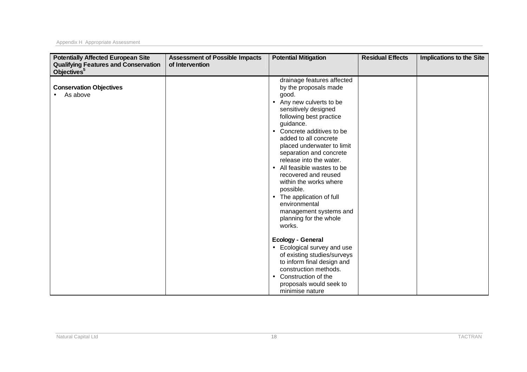| <b>Potentially Affected European Site</b><br><b>Qualifying Features and Conservation</b><br>Objectives <sup>5</sup> | <b>Assessment of Possible Impacts</b><br>of Intervention | <b>Potential Mitigation</b>                                                                                                                                                                                                                                                                                                                                                                                                                                                                                              | <b>Residual Effects</b> | <b>Implications to the Site</b> |
|---------------------------------------------------------------------------------------------------------------------|----------------------------------------------------------|--------------------------------------------------------------------------------------------------------------------------------------------------------------------------------------------------------------------------------------------------------------------------------------------------------------------------------------------------------------------------------------------------------------------------------------------------------------------------------------------------------------------------|-------------------------|---------------------------------|
| <b>Conservation Objectives</b><br>As above                                                                          |                                                          | drainage features affected<br>by the proposals made<br>good.<br>Any new culverts to be<br>$\bullet$<br>sensitively designed<br>following best practice<br>guidance.<br>• Concrete additives to be<br>added to all concrete<br>placed underwater to limit<br>separation and concrete<br>release into the water.<br>• All feasible wastes to be<br>recovered and reused<br>within the works where<br>possible.<br>• The application of full<br>environmental<br>management systems and<br>planning for the whole<br>works. |                         |                                 |
|                                                                                                                     |                                                          | <b>Ecology - General</b><br>• Ecological survey and use<br>of existing studies/surveys<br>to inform final design and<br>construction methods.<br>Construction of the<br>$\bullet$<br>proposals would seek to<br>minimise nature                                                                                                                                                                                                                                                                                          |                         |                                 |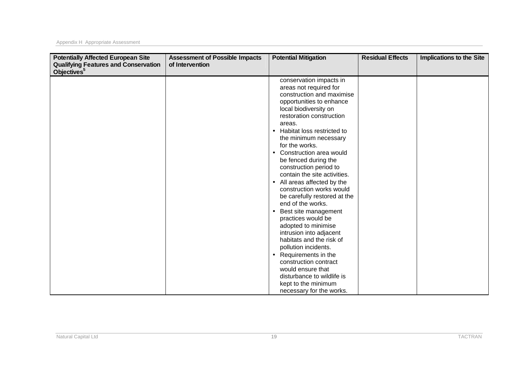| <b>Potentially Affected European Site</b><br><b>Qualifying Features and Conservation</b><br>Objectives <sup>5</sup> | <b>Assessment of Possible Impacts</b><br>of Intervention | <b>Potential Mitigation</b>                                                                                                                                                                                                                                                                                                                                                                                                                                                                                                                                                                                                                                                                                                                                                                                                        | <b>Residual Effects</b> | <b>Implications to the Site</b> |
|---------------------------------------------------------------------------------------------------------------------|----------------------------------------------------------|------------------------------------------------------------------------------------------------------------------------------------------------------------------------------------------------------------------------------------------------------------------------------------------------------------------------------------------------------------------------------------------------------------------------------------------------------------------------------------------------------------------------------------------------------------------------------------------------------------------------------------------------------------------------------------------------------------------------------------------------------------------------------------------------------------------------------------|-------------------------|---------------------------------|
|                                                                                                                     |                                                          | conservation impacts in<br>areas not required for<br>construction and maximise<br>opportunities to enhance<br>local biodiversity on<br>restoration construction<br>areas.<br>Habitat loss restricted to<br>$\bullet$<br>the minimum necessary<br>for the works.<br>• Construction area would<br>be fenced during the<br>construction period to<br>contain the site activities.<br>• All areas affected by the<br>construction works would<br>be carefully restored at the<br>end of the works.<br>Best site management<br>$\bullet$<br>practices would be<br>adopted to minimise<br>intrusion into adjacent<br>habitats and the risk of<br>pollution incidents.<br>Requirements in the<br>$\bullet$<br>construction contract<br>would ensure that<br>disturbance to wildlife is<br>kept to the minimum<br>necessary for the works. |                         |                                 |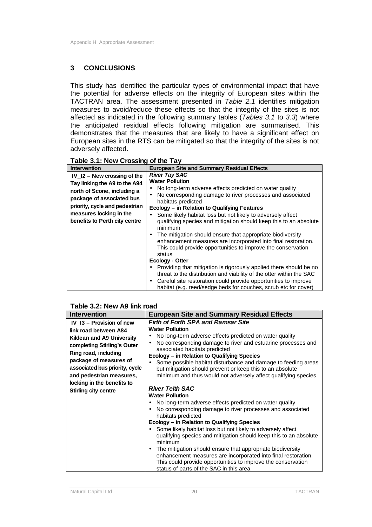## **3 CONCLUSIONS**

This study has identified the particular types of environmental impact that have the potential for adverse effects on the integrity of European sites within the TACTRAN area. The assessment presented in *Table 2.1* identifies mitigation measures to avoid/reduce these effects so that the integrity of the sites is not affected as indicated in the following summary tables (*Tables 3.1* to *3.3*) where the anticipated residual effects following mitigation are summarised. This demonstrates that the measures that are likely to have a significant effect on European sites in the RTS can be mitigated so that the integrity of the sites is not adversely affected.

| <b>Intervention</b>                                            | <b>European Site and Summary Residual Effects</b>                                                                                                                                                                                                                                             |
|----------------------------------------------------------------|-----------------------------------------------------------------------------------------------------------------------------------------------------------------------------------------------------------------------------------------------------------------------------------------------|
| $IV$ 12 – New crossing of the<br>Tay linking the A9 to the A94 | <b>River Tay SAC</b><br><b>Water Pollution</b>                                                                                                                                                                                                                                                |
| north of Scone, including a                                    | No long-term adverse effects predicted on water quality                                                                                                                                                                                                                                       |
| package of associated bus                                      | No corresponding damage to river processes and associated<br>$\bullet$<br>habitats predicted                                                                                                                                                                                                  |
| priority, cycle and pedestrian                                 | Ecology – in Relation to Qualifying Features                                                                                                                                                                                                                                                  |
| measures locking in the                                        | Some likely habitat loss but not likely to adversely affect                                                                                                                                                                                                                                   |
| benefits to Perth city centre                                  | qualifying species and mitigation should keep this to an absolute<br>minimum                                                                                                                                                                                                                  |
|                                                                | The mitigation should ensure that appropriate biodiversity<br>$\bullet$<br>enhancement measures are incorporated into final restoration.<br>This could provide opportunities to improve the conservation<br>status                                                                            |
|                                                                | <b>Ecology - Otter</b>                                                                                                                                                                                                                                                                        |
|                                                                | Providing that mitigation is rigorously applied there should be no<br>threat to the distribution and viability of the otter within the SAC<br>Careful site restoration could provide opportunities to improve<br>$\bullet$<br>habitat (e.g. reed/sedge beds for couches, scrub etc for cover) |

## **Table 3.2: New A9 link road**

| <b>European Site and Summary Residual Effects</b>                                                                          |
|----------------------------------------------------------------------------------------------------------------------------|
| <b>Firth of Forth SPA and Ramsar Site</b>                                                                                  |
| <b>Water Pollution</b>                                                                                                     |
| No long-term adverse effects predicted on water quality                                                                    |
| No corresponding damage to river and estuarine processes and<br>$\bullet$                                                  |
| associated habitats predicted                                                                                              |
| Ecology – in Relation to Qualifying Species                                                                                |
| Some possible habitat disturbance and damage to feeding areas<br>but mitigation should prevent or keep this to an absolute |
| minimum and thus would not adversely affect qualifying species                                                             |
|                                                                                                                            |
| <b>River Teith SAC</b>                                                                                                     |
| <b>Water Pollution</b>                                                                                                     |
| No long-term adverse effects predicted on water quality                                                                    |
| No corresponding damage to river processes and associated<br>$\bullet$                                                     |
| habitats predicted                                                                                                         |
| Ecology – in Relation to Qualifying Species                                                                                |
| Some likely habitat loss but not likely to adversely affect                                                                |
| qualifying species and mitigation should keep this to an absolute                                                          |
| minimum                                                                                                                    |
| The mitigation should ensure that appropriate biodiversity<br>$\bullet$                                                    |
| enhancement measures are incorporated into final restoration.                                                              |
| This could provide opportunities to improve the conservation<br>status of parts of the SAC in this area                    |
|                                                                                                                            |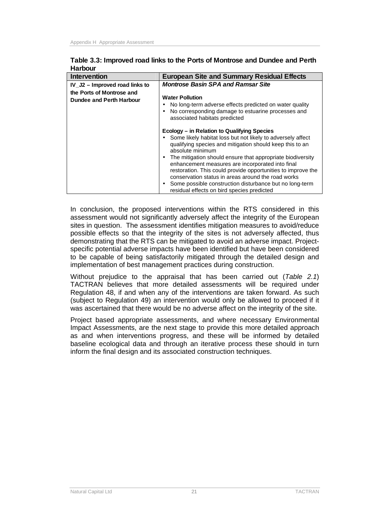| <b>Intervention</b>                                                                            | <b>European Site and Summary Residual Effects</b>                                                                                                                                                                                                                                                                                                                                                                                                                                                                                                                                      |
|------------------------------------------------------------------------------------------------|----------------------------------------------------------------------------------------------------------------------------------------------------------------------------------------------------------------------------------------------------------------------------------------------------------------------------------------------------------------------------------------------------------------------------------------------------------------------------------------------------------------------------------------------------------------------------------------|
| IV J2 - Improved road links to<br>the Ports of Montrose and<br><b>Dundee and Perth Harbour</b> | <b>Montrose Basin SPA and Ramsar Site</b><br><b>Water Pollution</b><br>No long-term adverse effects predicted on water quality<br>No corresponding damage to estuarine processes and                                                                                                                                                                                                                                                                                                                                                                                                   |
|                                                                                                | associated habitats predicted<br>Ecology - in Relation to Qualifying Species<br>Some likely habitat loss but not likely to adversely affect<br>qualifying species and mitigation should keep this to an<br>absolute minimum<br>The mitigation should ensure that appropriate biodiversity<br>٠<br>enhancement measures are incorporated into final<br>restoration. This could provide opportunities to improve the<br>conservation status in areas around the road works<br>Some possible construction disturbance but no long-term<br>٠<br>residual effects on bird species predicted |

**Table 3.3: Improved road links to the Ports of Montrose and Dundee and Perth Harbour**

In conclusion, the proposed interventions within the RTS considered in this assessment would not significantly adversely affect the integrity of the European sites in question. The assessment identifies mitigation measures to avoid/reduce possible effects so that the integrity of the sites is not adversely affected, thus demonstrating that the RTS can be mitigated to avoid an adverse impact. Projectspecific potential adverse impacts have been identified but have been considered to be capable of being satisfactorily mitigated through the detailed design and implementation of best management practices during construction.

Without prejudice to the appraisal that has been carried out (*Table 2.1*) TACTRAN believes that more detailed assessments will be required under Regulation 48, if and when any of the interventions are taken forward. As such (subject to Regulation 49) an intervention would only be allowed to proceed if it was ascertained that there would be no adverse affect on the integrity of the site.

Project based appropriate assessments, and where necessary Environmental Impact Assessments, are the next stage to provide this more detailed approach as and when interventions progress, and these will be informed by detailed baseline ecological data and through an iterative process these should in turn inform the final design and its associated construction techniques.